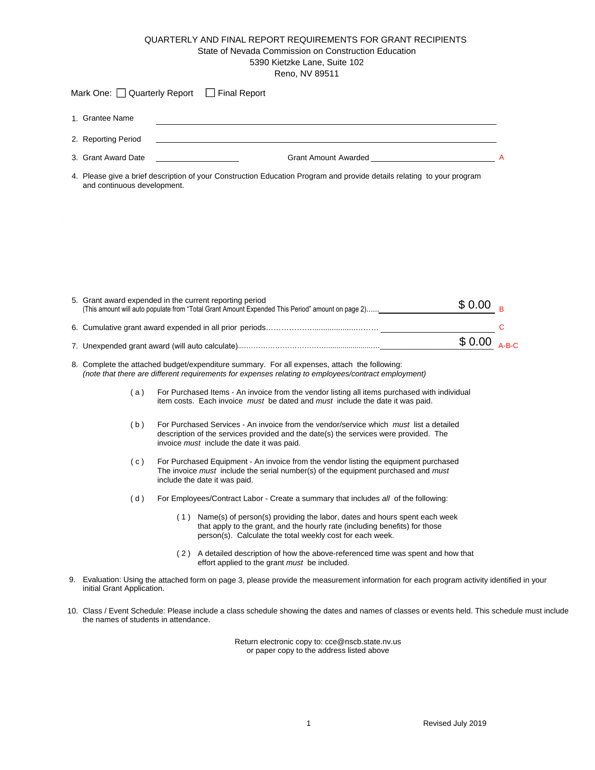## QUARTERLY AND FINAL REPORT REQUIREMENTS FOR GRANT RECIPIENTS State of Nevada Commission on Construction Education 5390 Kietzke Lane, Suite 102 Reno, NV 89511

| Mark One: Quarterly Report Final Report                                                                                                                                                                                             |  |  |  |  |  |  |  |
|-------------------------------------------------------------------------------------------------------------------------------------------------------------------------------------------------------------------------------------|--|--|--|--|--|--|--|
| 1. Grantee Name                                                                                                                                                                                                                     |  |  |  |  |  |  |  |
| 2. Reporting Period<br><u> 1989 - John Stone, amerikansk politiker (* 1989)</u>                                                                                                                                                     |  |  |  |  |  |  |  |
| 3. Grant Award Date                                                                                                                                                                                                                 |  |  |  |  |  |  |  |
| 4. Please give a brief description of your Construction Education Program and provide details relating to your program<br>and continuous development.                                                                               |  |  |  |  |  |  |  |
|                                                                                                                                                                                                                                     |  |  |  |  |  |  |  |
| 5. Grant award expended in the current reporting period<br>\$0.00<br>(This amount will auto populate from "Total Grant Amount Expended This Period" amount on page 2)________                                                       |  |  |  |  |  |  |  |
| C                                                                                                                                                                                                                                   |  |  |  |  |  |  |  |
| $$0.00 A-B-C$                                                                                                                                                                                                                       |  |  |  |  |  |  |  |
| 8. Complete the attached budget/expenditure summary. For all expenses, attach the following:<br>(note that there are different requirements for expenses relating to employees/contract employment)                                 |  |  |  |  |  |  |  |
| For Purchased Items - An invoice from the vendor listing all items purchased with individual<br>(a)<br>item costs. Each invoice must be dated and must include the date it was paid.                                                |  |  |  |  |  |  |  |
| (b)<br>For Purchased Services - An invoice from the vendor/service which must list a detailed<br>description of the services provided and the date(s) the services were provided. The<br>invoice must include the date it was paid. |  |  |  |  |  |  |  |
| For Purchased Equipment - An invoice from the vendor listing the equipment purchased<br>(c)<br>The invoice must include the serial number(s) of the equipment purchased and must<br>include the date it was paid.                   |  |  |  |  |  |  |  |
| (d)<br>For Employees/Contract Labor - Create a summary that includes all of the following:                                                                                                                                          |  |  |  |  |  |  |  |
| (1) Name(s) of person(s) providing the labor, dates and hours spent each week<br>that apply to the grant, and the hourly rate (including benefits) for those<br>person(s). Calculate the total weekly cost for each week.           |  |  |  |  |  |  |  |
| (2) A detailed description of how the above-referenced time was spent and how that<br>effort applied to the grant must be included.                                                                                                 |  |  |  |  |  |  |  |
| 9. Evaluation: Using the attached form on page 3, please provide the measurement information for each program activity identified in your<br>initial Grant Application.                                                             |  |  |  |  |  |  |  |
| 10. Class / Event Schedule: Please include a class schedule showing the dates and names of classes or events held. This schedule must include<br>the names of students in attendance.                                               |  |  |  |  |  |  |  |

Return electronic copy to: cce@nscb.state.nv.us or paper copy to the address listed above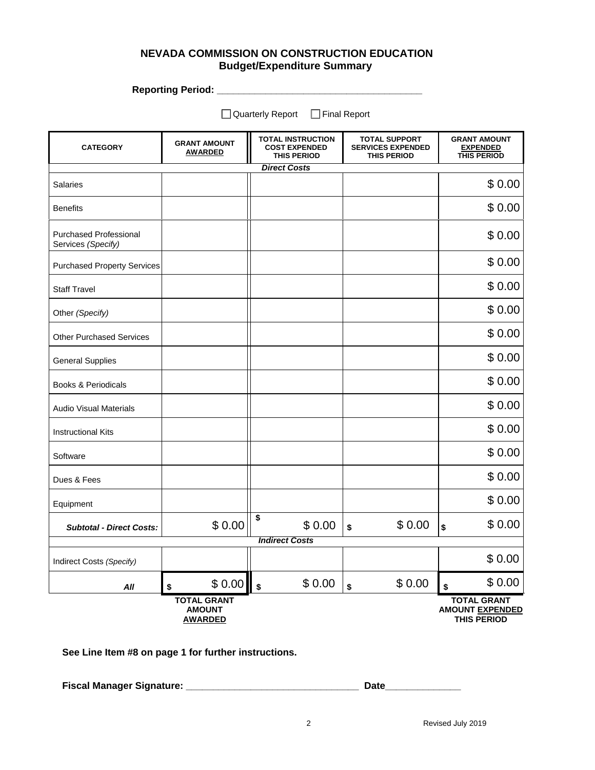## **NEVADA COMMISSION ON CONSTRUCTION EDUCATION Budget/Expenditure Summary**

**Reporting Period: \_\_\_\_\_\_\_\_\_\_\_\_\_\_\_\_\_\_\_\_\_\_\_\_\_\_\_\_\_\_\_\_\_\_\_\_\_\_** 

□ Quarterly Report □ Final Report

| <b>CATEGORY</b>                                     | <b>GRANT AMOUNT</b><br><b>AWARDED</b>                 | <b>TOTAL INSTRUCTION</b><br><b>COST EXPENDED</b><br><b>THIS PERIOD</b> |        | <b>TOTAL SUPPORT</b><br><b>SERVICES EXPENDED</b><br><b>THIS PERIOD</b> |        | <b>GRANT AMOUNT</b><br><b>EXPENDED</b><br><b>THIS PERIOD</b>       |        |  |  |
|-----------------------------------------------------|-------------------------------------------------------|------------------------------------------------------------------------|--------|------------------------------------------------------------------------|--------|--------------------------------------------------------------------|--------|--|--|
|                                                     | <b>Direct Costs</b>                                   |                                                                        |        |                                                                        |        |                                                                    |        |  |  |
| <b>Salaries</b>                                     |                                                       |                                                                        |        |                                                                        |        |                                                                    | \$0.00 |  |  |
| <b>Benefits</b>                                     |                                                       |                                                                        |        |                                                                        |        |                                                                    | \$0.00 |  |  |
| <b>Purchased Professional</b><br>Services (Specify) |                                                       |                                                                        |        |                                                                        |        |                                                                    | \$0.00 |  |  |
| <b>Purchased Property Services</b>                  |                                                       |                                                                        |        |                                                                        |        |                                                                    | \$0.00 |  |  |
| <b>Staff Travel</b>                                 |                                                       |                                                                        |        |                                                                        |        |                                                                    | \$0.00 |  |  |
| Other (Specify)                                     |                                                       |                                                                        |        |                                                                        |        |                                                                    | \$0.00 |  |  |
| <b>Other Purchased Services</b>                     |                                                       |                                                                        |        |                                                                        |        |                                                                    | \$0.00 |  |  |
| <b>General Supplies</b>                             |                                                       |                                                                        |        |                                                                        |        |                                                                    | \$0.00 |  |  |
| <b>Books &amp; Periodicals</b>                      |                                                       |                                                                        |        |                                                                        |        |                                                                    | \$0.00 |  |  |
| <b>Audio Visual Materials</b>                       |                                                       |                                                                        |        |                                                                        |        |                                                                    | \$0.00 |  |  |
| <b>Instructional Kits</b>                           |                                                       |                                                                        |        |                                                                        |        |                                                                    | \$0.00 |  |  |
| Software                                            |                                                       |                                                                        |        |                                                                        |        |                                                                    | \$0.00 |  |  |
| Dues & Fees                                         |                                                       |                                                                        |        |                                                                        |        |                                                                    | \$0.00 |  |  |
| Equipment                                           |                                                       |                                                                        |        |                                                                        |        |                                                                    | \$0.00 |  |  |
| <b>Subtotal - Direct Costs:</b>                     | \$0.00                                                | \$                                                                     | \$0.00 | \$                                                                     | \$0.00 | \$                                                                 | \$0.00 |  |  |
|                                                     |                                                       | <b>Indirect Costs</b>                                                  |        |                                                                        |        |                                                                    |        |  |  |
| Indirect Costs (Specify)                            |                                                       |                                                                        |        |                                                                        |        |                                                                    | \$0.00 |  |  |
| All                                                 | \$0.00<br>\$                                          | \$                                                                     | \$0.00 | \$                                                                     | \$0.00 | \$                                                                 | \$0.00 |  |  |
|                                                     | <b>TOTAL GRANT</b><br><b>AMOUNT</b><br><b>AWARDED</b> |                                                                        |        |                                                                        |        | <b>TOTAL GRANT</b><br><b>AMOUNT EXPENDED</b><br><b>THIS PERIOD</b> |        |  |  |

**See Line Item #8 on page 1 for further instructions.** 

**Fiscal Manager Signature: \_\_\_\_\_\_\_\_\_\_\_\_\_\_\_\_\_\_\_\_\_\_\_\_\_\_\_\_\_\_\_\_ Date\_\_\_\_\_\_\_\_\_\_\_\_\_\_**